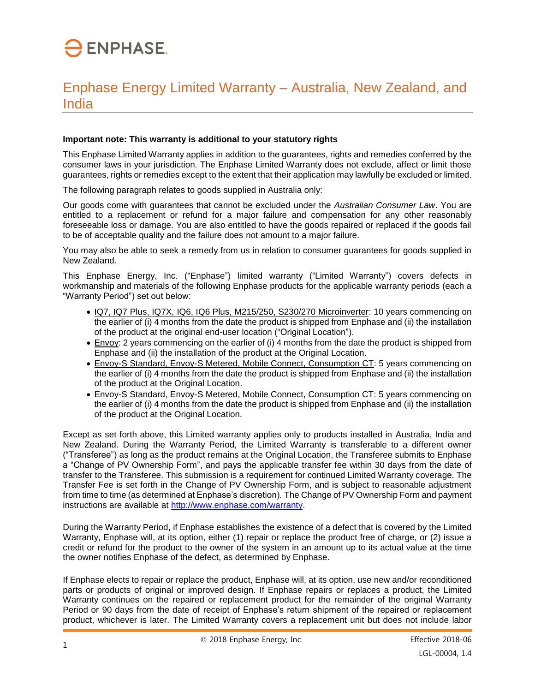## **ENPHASE.**

## Enphase Energy Limited Warranty – Australia, New Zealand, and India

## **Important note: This warranty is additional to your statutory rights**

This Enphase Limited Warranty applies in addition to the guarantees, rights and remedies conferred by the consumer laws in your jurisdiction. The Enphase Limited Warranty does not exclude, affect or limit those guarantees, rights or remedies except to the extent that their application may lawfully be excluded or limited.

The following paragraph relates to goods supplied in Australia only:

Our goods come with guarantees that cannot be excluded under the *Australian Consumer Law*. You are entitled to a replacement or refund for a major failure and compensation for any other reasonably foreseeable loss or damage. You are also entitled to have the goods repaired or replaced if the goods fail to be of acceptable quality and the failure does not amount to a major failure.

You may also be able to seek a remedy from us in relation to consumer guarantees for goods supplied in New Zealand.

This Enphase Energy, Inc. ("Enphase") limited warranty ("Limited Warranty") covers defects in workmanship and materials of the following Enphase products for the applicable warranty periods (each a "Warranty Period") set out below:

- IQ7, IQ7 Plus, IQ7X, IQ6, IQ6 Plus, M215/250, S230/270 Microinverter: 10 years commencing on the earlier of (i) 4 months from the date the product is shipped from Enphase and (ii) the installation of the product at the original end-user location ("Original Location").
- Envoy: 2 years commencing on the earlier of (i) 4 months from the date the product is shipped from Enphase and (ii) the installation of the product at the Original Location.
- Envoy-S Standard, Envoy-S Metered, Mobile Connect, Consumption CT: 5 years commencing on the earlier of (i) 4 months from the date the product is shipped from Enphase and (ii) the installation of the product at the Original Location.
- Envoy-S Standard, Envoy-S Metered, Mobile Connect, Consumption CT: 5 years commencing on the earlier of (i) 4 months from the date the product is shipped from Enphase and (ii) the installation of the product at the Original Location.

Except as set forth above, this Limited warranty applies only to products installed in Australia, India and New Zealand. During the Warranty Period, the Limited Warranty is transferable to a different owner ("Transferee") as long as the product remains at the Original Location, the Transferee submits to Enphase a "Change of PV Ownership Form", and pays the applicable transfer fee within 30 days from the date of transfer to the Transferee. This submission is a requirement for continued Limited Warranty coverage. The Transfer Fee is set forth in the Change of PV Ownership Form, and is subject to reasonable adjustment from time to time (as determined at Enphase's discretion). The Change of PV Ownership Form and payment instructions are available at [http://www.enphase.com/warranty.](http://www.enphase.com/warranty)

During the Warranty Period, if Enphase establishes the existence of a defect that is covered by the Limited Warranty, Enphase will, at its option, either (1) repair or replace the product free of charge, or (2) issue a credit or refund for the product to the owner of the system in an amount up to its actual value at the time the owner notifies Enphase of the defect, as determined by Enphase.

If Enphase elects to repair or replace the product, Enphase will, at its option, use new and/or reconditioned parts or products of original or improved design. If Enphase repairs or replaces a product, the Limited Warranty continues on the repaired or replacement product for the remainder of the original Warranty Period or 90 days from the date of receipt of Enphase's return shipment of the repaired or replacement product, whichever is later. The Limited Warranty covers a replacement unit but does not include labor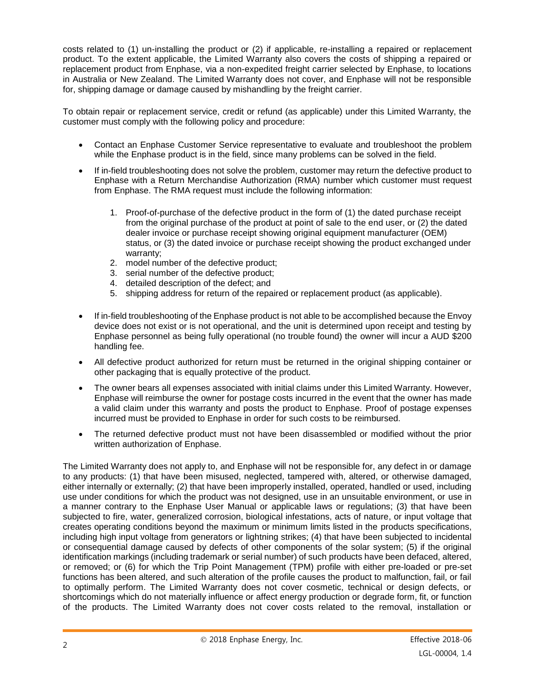costs related to (1) un-installing the product or (2) if applicable, re-installing a repaired or replacement product. To the extent applicable, the Limited Warranty also covers the costs of shipping a repaired or replacement product from Enphase, via a non-expedited freight carrier selected by Enphase, to locations in Australia or New Zealand. The Limited Warranty does not cover, and Enphase will not be responsible for, shipping damage or damage caused by mishandling by the freight carrier.

To obtain repair or replacement service, credit or refund (as applicable) under this Limited Warranty, the customer must comply with the following policy and procedure:

- Contact an Enphase Customer Service representative to evaluate and troubleshoot the problem while the Enphase product is in the field, since many problems can be solved in the field.
- If in-field troubleshooting does not solve the problem, customer may return the defective product to Enphase with a Return Merchandise Authorization (RMA) number which customer must request from Enphase. The RMA request must include the following information:
	- 1. Proof-of-purchase of the defective product in the form of (1) the dated purchase receipt from the original purchase of the product at point of sale to the end user, or (2) the dated dealer invoice or purchase receipt showing original equipment manufacturer (OEM) status, or (3) the dated invoice or purchase receipt showing the product exchanged under warranty;
	- 2. model number of the defective product;
	- 3. serial number of the defective product;
	- 4. detailed description of the defect; and
	- 5. shipping address for return of the repaired or replacement product (as applicable).
- If in-field troubleshooting of the Enphase product is not able to be accomplished because the Envoy device does not exist or is not operational, and the unit is determined upon receipt and testing by Enphase personnel as being fully operational (no trouble found) the owner will incur a AUD \$200 handling fee.
- All defective product authorized for return must be returned in the original shipping container or other packaging that is equally protective of the product.
- The owner bears all expenses associated with initial claims under this Limited Warranty. However, Enphase will reimburse the owner for postage costs incurred in the event that the owner has made a valid claim under this warranty and posts the product to Enphase. Proof of postage expenses incurred must be provided to Enphase in order for such costs to be reimbursed.
- The returned defective product must not have been disassembled or modified without the prior written authorization of Enphase.

The Limited Warranty does not apply to, and Enphase will not be responsible for, any defect in or damage to any products: (1) that have been misused, neglected, tampered with, altered, or otherwise damaged, either internally or externally; (2) that have been improperly installed, operated, handled or used, including use under conditions for which the product was not designed, use in an unsuitable environment, or use in a manner contrary to the Enphase User Manual or applicable laws or regulations; (3) that have been subjected to fire, water, generalized corrosion, biological infestations, acts of nature, or input voltage that creates operating conditions beyond the maximum or minimum limits listed in the products specifications, including high input voltage from generators or lightning strikes; (4) that have been subjected to incidental or consequential damage caused by defects of other components of the solar system; (5) if the original identification markings (including trademark or serial number) of such products have been defaced, altered, or removed; or (6) for which the Trip Point Management (TPM) profile with either pre-loaded or pre-set functions has been altered, and such alteration of the profile causes the product to malfunction, fail, or fail to optimally perform. The Limited Warranty does not cover cosmetic, technical or design defects, or shortcomings which do not materially influence or affect energy production or degrade form, fit, or function of the products. The Limited Warranty does not cover costs related to the removal, installation or